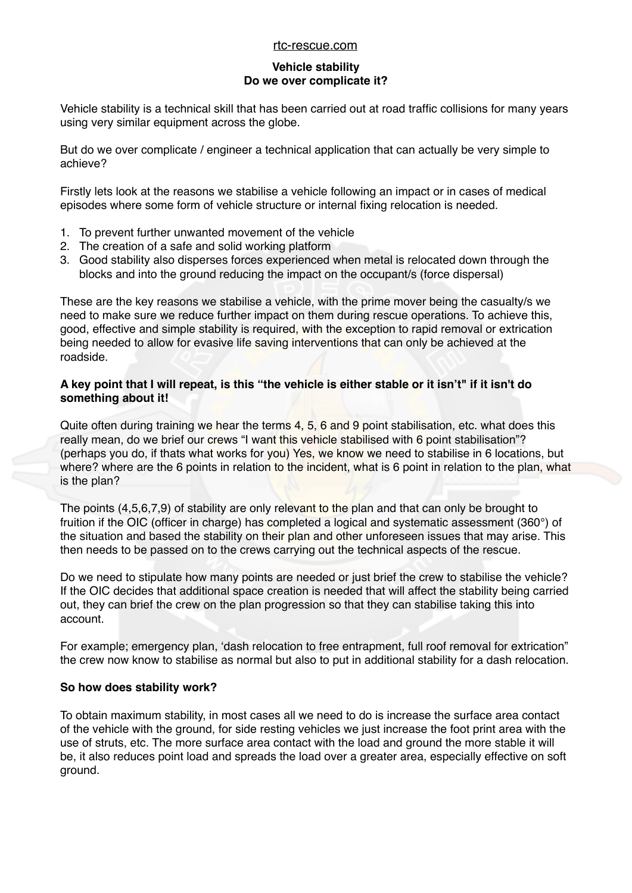#### [rtc-rescue.com](http://rtc-rescue.com)

# **Vehicle stability Do we over complicate it?**

Vehicle stability is a technical skill that has been carried out at road traffic collisions for many years using very similar equipment across the globe.

But do we over complicate / engineer a technical application that can actually be very simple to achieve?

Firstly lets look at the reasons we stabilise a vehicle following an impact or in cases of medical episodes where some form of vehicle structure or internal fixing relocation is needed.

- 1. To prevent further unwanted movement of the vehicle
- 2. The creation of a safe and solid working platform
- 3. Good stability also disperses forces experienced when metal is relocated down through the blocks and into the ground reducing the impact on the occupant/s (force dispersal)

These are the key reasons we stabilise a vehicle, with the prime mover being the casualty/s we need to make sure we reduce further impact on them during rescue operations. To achieve this, good, effective and simple stability is required, with the exception to rapid removal or extrication being needed to allow for evasive life saving interventions that can only be achieved at the roadside.

# **A key point that I will repeat, is this "the vehicle is either stable or it isn't" if it isn't do something about it!**

Quite often during training we hear the terms 4, 5, 6 and 9 point stabilisation, etc. what does this really mean, do we brief our crews "I want this vehicle stabilised with 6 point stabilisation"? (perhaps you do, if thats what works for you) Yes, we know we need to stabilise in 6 locations, but where? where are the 6 points in relation to the incident, what is 6 point in relation to the plan, what is the plan?

The points (4,5,6,7,9) of stability are only relevant to the plan and that can only be brought to fruition if the OIC (officer in charge) has completed a logical and systematic assessment (360°) of the situation and based the stability on their plan and other unforeseen issues that may arise. This then needs to be passed on to the crews carrying out the technical aspects of the rescue.

Do we need to stipulate how many points are needed or just brief the crew to stabilise the vehicle? If the OIC decides that additional space creation is needed that will affect the stability being carried out, they can brief the crew on the plan progression so that they can stabilise taking this into account.

For example; emergency plan, 'dash relocation to free entrapment, full roof removal for extrication" the crew now know to stabilise as normal but also to put in additional stability for a dash relocation.

# **So how does stability work?**

To obtain maximum stability, in most cases all we need to do is increase the surface area contact of the vehicle with the ground, for side resting vehicles we just increase the foot print area with the use of struts, etc. The more surface area contact with the load and ground the more stable it will be, it also reduces point load and spreads the load over a greater area, especially effective on soft ground.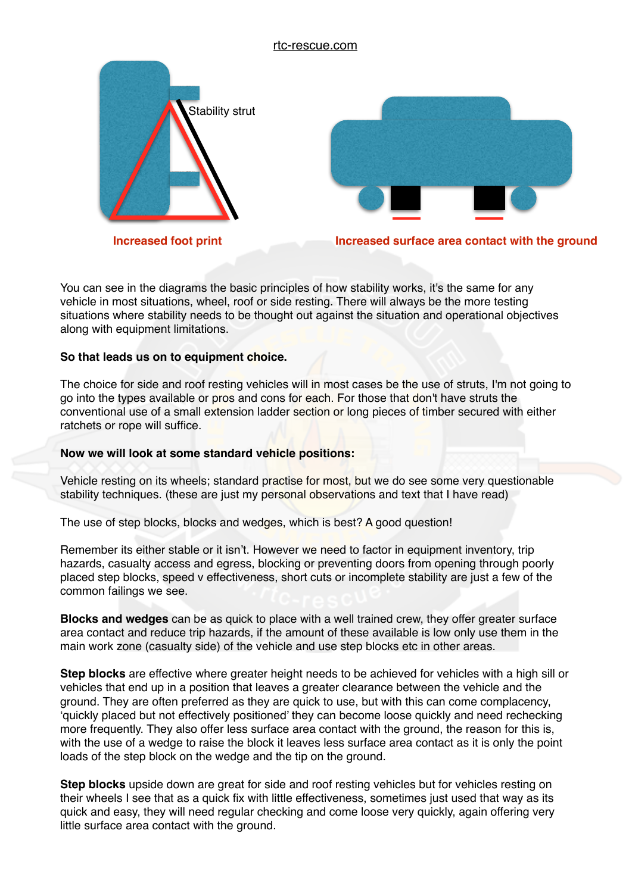

You can see in the diagrams the basic principles of how stability works, it's the same for any vehicle in most situations, wheel, roof or side resting. There will always be the more testing situations where stability needs to be thought out against the situation and operational objectives along with equipment limitations.

# **So that leads us on to equipment choice.**

The choice for side and roof resting vehicles will in most cases be the use of struts, I'm not going to go into the types available or pros and cons for each. For those that don't have struts the conventional use of a small extension ladder section or long pieces of timber secured with either ratchets or rope will suffice.

# **Now we will look at some standard vehicle positions:**

Vehicle resting on its wheels; standard practise for most, but we do see some very questionable stability techniques. (these are just my personal observations and text that I have read)

The use of step blocks, blocks and wedges, which is best? A good question!

Remember its either stable or it isn't. However we need to factor in equipment inventory, trip hazards, casualty access and egress, blocking or preventing doors from opening through poorly placed step blocks, speed v effectiveness, short cuts or incomplete stability are just a few of the common failings we see.

**Blocks and wedges** can be as quick to place with a well trained crew, they offer greater surface area contact and reduce trip hazards, if the amount of these available is low only use them in the main work zone (casualty side) of the vehicle and use step blocks etc in other areas.

**Step blocks** are effective where greater height needs to be achieved for vehicles with a high sill or vehicles that end up in a position that leaves a greater clearance between the vehicle and the ground. They are often preferred as they are quick to use, but with this can come complacency, 'quickly placed but not effectively positioned' they can become loose quickly and need rechecking more frequently. They also offer less surface area contact with the ground, the reason for this is, with the use of a wedge to raise the block it leaves less surface area contact as it is only the point loads of the step block on the wedge and the tip on the ground.

**Step blocks** upside down are great for side and roof resting vehicles but for vehicles resting on their wheels I see that as a quick fix with little effectiveness, sometimes just used that way as its quick and easy, they will need regular checking and come loose very quickly, again offering very little surface area contact with the ground.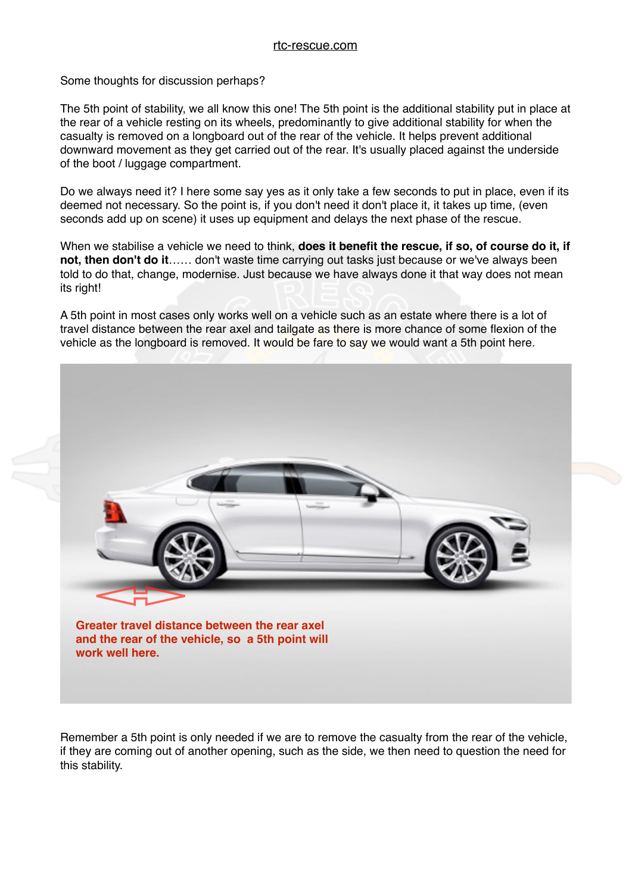#### rtc-rescue.com

Some thoughts for discussion perhaps?

The 5th point of stability, we all know this one! The 5th point is the additional stability put in place at the rear of a vehicle resting on its wheels, predominantly to give additional stability for when the casualty is removed on a longboard out of the rear of the vehicle. It helps prevent additional downward movement as they get carried out of the rear. It's usually placed against the underside of the boot / luggage compartment.

Do we always need it? I here some say yes as it only take a few seconds to put in place, even if its deemed not necessary. So the point is, if you don't need it don't place it, it takes up time, (even seconds add up on scene) it uses up equipment and delays the next phase of the rescue.

When we stabilise a vehicle we need to think, **does it benefit the rescue, if so, of course do it, if not, then don't do it**…… don't waste time carrying out tasks just because or we've always been told to do that, change, modernise. Just because we have always done it that way does not mean its right!

A 5th point in most cases only works well on a vehicle such as an estate where there is a lot of travel distance between the rear axel and tailgate as there is more chance of some flexion of the vehicle as the longboard is removed. It would be fare to say we would want a 5th point here.



Remember a 5th point is only needed if we are to remove the casualty from the rear of the vehicle, if they are coming out of another opening, such as the side, we then need to question the need for this stability.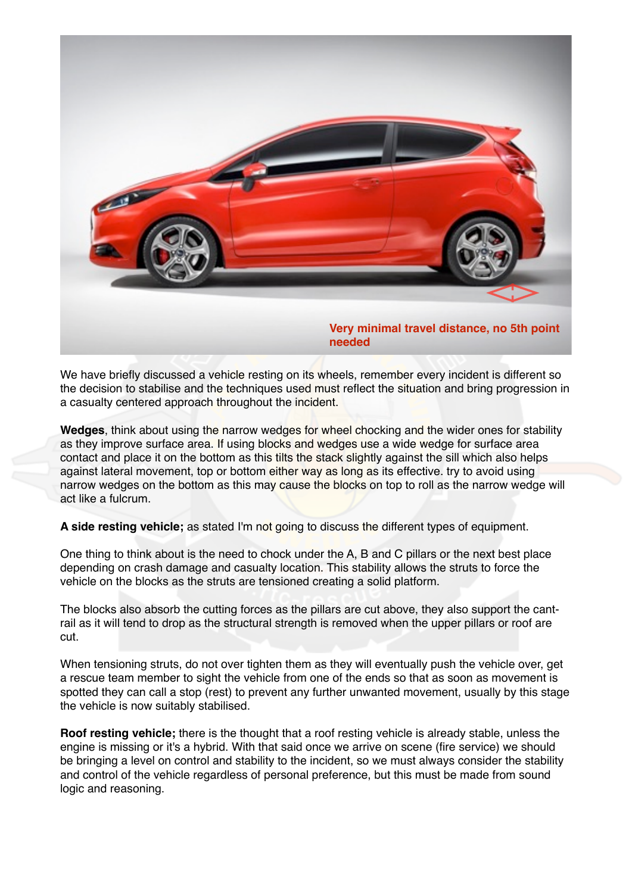

We have briefly discussed a vehicle resting on its wheels, remember every incident is different so the decision to stabilise and the techniques used must reflect the situation and bring progression in a casualty centered approach throughout the incident.

**Wedges**, think about using the narrow wedges for wheel chocking and the wider ones for stability as they improve surface area. If using blocks and wedges use a wide wedge for surface area contact and place it on the bottom as this tilts the stack slightly against the sill which also helps against lateral movement, top or bottom either way as long as its effective. try to avoid using narrow wedges on the bottom as this may cause the blocks on top to roll as the narrow wedge will act like a fulcrum.

**A side resting vehicle;** as stated I'm not going to discuss the different types of equipment.

One thing to think about is the need to chock under the A, B and C pillars or the next best place depending on crash damage and casualty location. This stability allows the struts to force the vehicle on the blocks as the struts are tensioned creating a solid platform.

The blocks also absorb the cutting forces as the pillars are cut above, they also support the cantrail as it will tend to drop as the structural strength is removed when the upper pillars or roof are cut.

When tensioning struts, do not over tighten them as they will eventually push the vehicle over, get a rescue team member to sight the vehicle from one of the ends so that as soon as movement is spotted they can call a stop (rest) to prevent any further unwanted movement, usually by this stage the vehicle is now suitably stabilised.

**Roof resting vehicle;** there is the thought that a roof resting vehicle is already stable, unless the engine is missing or it's a hybrid. With that said once we arrive on scene (fire service) we should be bringing a level on control and stability to the incident, so we must always consider the stability and control of the vehicle regardless of personal preference, but this must be made from sound logic and reasoning.